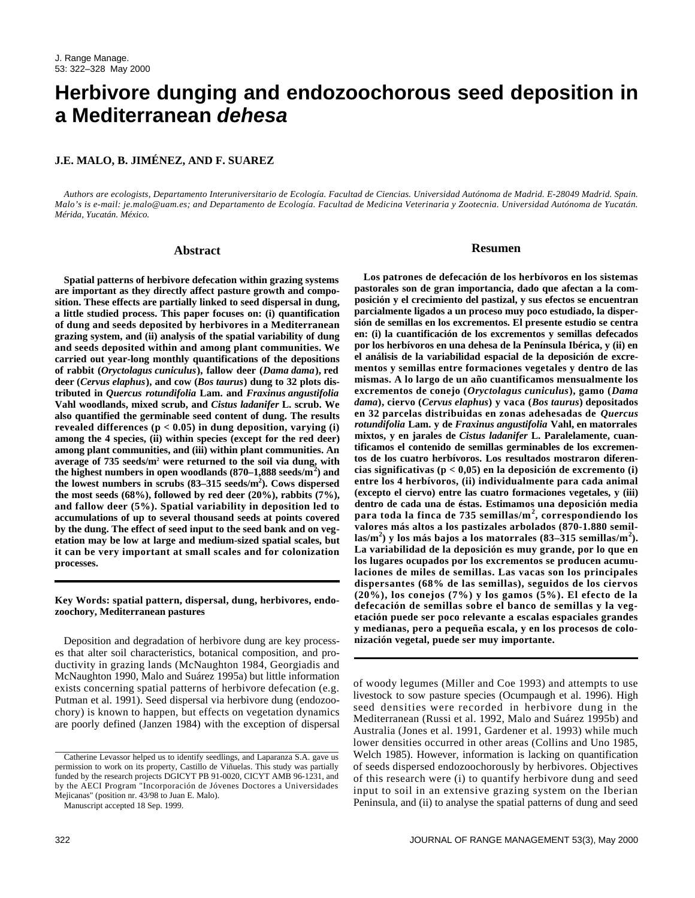# **Herbivore dunging and endozoochorous seed deposition in a Mediterranean** *dehesa*

# **J.E. MALO, B. JIMÉNEZ, AND F. SUAREZ**

*Authors are ecologists, Departamento Interuniversitario de Ecología. Facultad de Ciencias. Universidad Autónoma de Madrid. E-28049 Madrid. Spain. Malo's is e-mail: je.malo@uam.es; and Departamento de Ecología. Facultad de Medicina Veterinaria y Zootecnia. Universidad Autónoma de Yucatán. Mérida, Yucatán. México.*

#### **Abstract**

**Spatial patterns of herbivore defecation within grazing systems are important as they directly affect pasture growth and composition. These effects are partially linked to seed dispersal in dung, a little studied process. This paper focuses on: (i) quantification of dung and seeds deposited by herbivores in a Mediterranean grazing system, and (ii) analysis of the spatial variability of dung and seeds deposited within and among plant communities. We carried out year-long monthly quantifications of the depositions of rabbit (***Oryctolagus cuniculus***), fallow deer (***Dama dama***), red deer (***Cervus elaphus***), and cow (***Bos taurus***) dung to 32 plots distributed in** *Quercus rotundifolia* **Lam. and** *Fraxinus angustifolia* **Vahl woodlands, mixed scrub, and** *Cistus ladanifer* **L. scrub. We also quantified the germinable seed content of dung. The results revealed differences (p < 0.05) in dung deposition, varying (i) among the 4 species, (ii) within species (except for the red deer) among plant communities, and (iii) within plant communities. An average of 735 seeds/m<sup>2</sup> were returned to the soil via dung, with the highest numbers in open woodlands (870–1,888 seeds/m<sup>2</sup> ) and the lowest numbers in scrubs (83–315 seeds/m<sup>2</sup> ). Cows dispersed the most seeds (68%), followed by red deer (20%), rabbits (7%), and fallow deer (5%). Spatial variability in deposition led to accumulations of up to several thousand seeds at points covered by the dung. The effect of seed input to the seed bank and on vegetation may be low at large and medium-sized spatial scales, but it can be very important at small scales and for colonization processes.**

## **Key Words: spatial pattern, dispersal, dung, herbivores, endozoochory, Mediterranean pastures**

Deposition and degradation of herbivore dung are key processes that alter soil characteristics, botanical composition, and productivity in grazing lands (McNaughton 1984, Georgiadis and McNaughton 1990, Malo and Suárez 1995a) but little information exists concerning spatial patterns of herbivore defecation (e.g. Putman et al. 1991). Seed dispersal via herbivore dung (endozoochory) is known to happen, but effects on vegetation dynamics are poorly defined (Janzen 1984) with the exception of dispersal

Manuscript accepted 18 Sep. 1999.

# **Resumen**

**Los patrones de defecación de los herbívoros en los sistemas pastorales son de gran importancia, dado que afectan a la composición y el crecimiento del pastizal, y sus efectos se encuentran parcialmente ligados a un proceso muy poco estudiado, la dispersión de semillas en los excrementos. El presente estudio se centra en: (i) la cuantificación de los excrementos y semillas defecados por los herbívoros en una dehesa de la Península Ibérica, y (ii) en el análisis de la variabilidad espacial de la deposición de excrementos y semillas entre formaciones vegetales y dentro de las mismas. A lo largo de un año cuantificamos mensualmente los**  $exc$ rementos de conejo (Oryctolagus cuniculus), gamo (Dama *d a m a***), ciervo (***Cervus elaphus***) y vaca (***Bos taurus***) depositados** en 32 parcelas distribuidas en zonas adehesadas de *Quercus rotundifolia* **Lam. y de** *Fraxinus angustifolia* **Vahl, en matorrales mixtos, y en jarales de** *Cistus ladanifer* **L. Paralelamente, cuantificamos el contenido de semillas germinables de los excrementos de los cuatro herbívoros. Los resultados mostraron diferencias significativas (p < 0,05) en la deposición de excremento (i) entre los 4 herbívoros, (ii) individualmente para cada animal (excepto el ciervo) entre las cuatro formaciones vegetales, y (iii) dentro de cada una de éstas. Estimamos una deposición media para toda la finca de 735 semillas/m<sup>2</sup> , correspondiendo los valores más altos a los pastizales arbolados (870-1.880 semill a s / m<sup>2</sup> ) y los más bajos a los matorrales (83–315 semillas/m<sup>2</sup> ) . La variabilidad de la deposición es muy grande, por lo que en los lugares ocupados por los excrementos se producen acumulaciones de miles de semillas. Las vacas son los principales dispersantes (68% de las semillas), seguidos de los ciervos (20%), los conejos (7%) y los gamos (5%). El efecto de la defecación de semillas sobre el banco de semillas y la vegetación puede ser poco relevante a escalas espaciales grandes y medianas, pero a pequeña escala, y en los procesos de colonización vegetal, puede ser muy importante.**

of woody legumes (Miller and Coe 1993) and attempts to use livestock to sow pasture species (Ocumpaugh et al. 1996). High seed densities were recorded in herbivore dung in the Mediterranean (Russi et al. 1992, Malo and Suárez 1995b) and Australia (Jones et al. 1991, Gardener et al. 1993) while much lower densities occurred in other areas (Collins and Uno 1985, Welch 1985). However, information is lacking on quantification of seeds dispersed endozoochorously by herbivores. Objectives of this research were (i) to quantify herbivore dung and seed input to soil in an extensive grazing system on the Iberian Peninsula, and (ii) to analyse the spatial patterns of dung and seed

Catherine Levassor helped us to identify seedlings, and Laparanza S.A. gave us permission to work on its property, Castillo de Viñuelas. This study was partially funded by the research projects DGICYT PB 91-0020, CICYT AMB 96-1231, and by the AECI Program "Incorporación de Jóvenes Doctores a Universidades Mejicanas" (position nr. 43/98 to Juan E. Malo).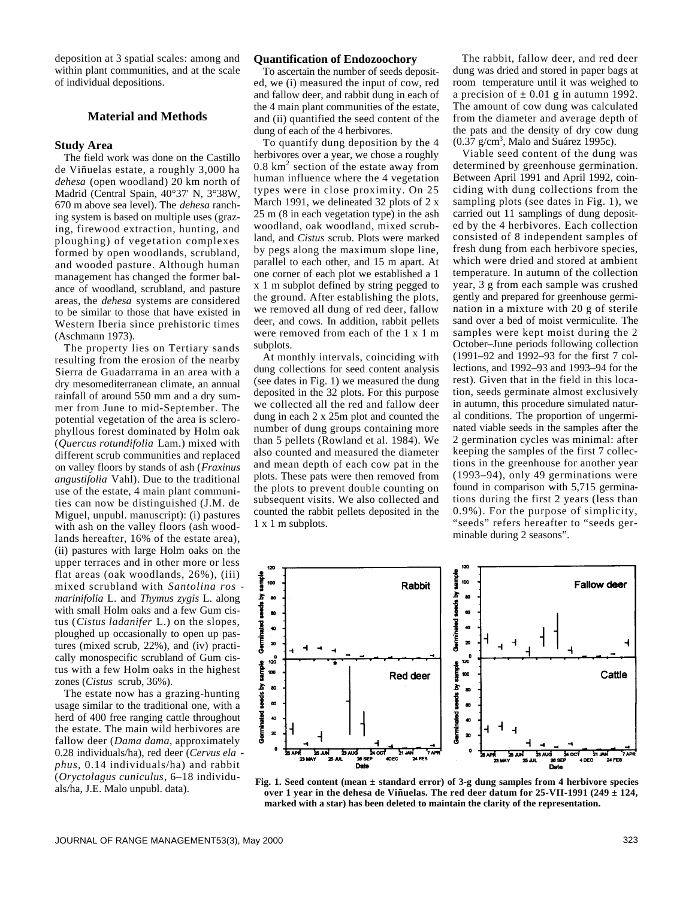deposition at 3 spatial scales: among and within plant communities, and at the scale of individual depositions.

# **Material and Methods**

### **Study Area**

The field work was done on the Castillo de Viñuelas estate, a roughly 3,000 ha *dehesa* (open woodland) 20 km north of Madrid (Central Spain, 40°37' N, 3°38W, 670 m above sea level). The *dehesa* ranching system is based on multiple uses (grazing, firewood extraction, hunting, and ploughing) of vegetation complexes formed by open woodlands, scrubland, and wooded pasture. Although human management has changed the former balance of woodland, scrubland, and pasture areas, the *dehesa* systems are considered to be similar to those that have existed in Western Iberia since prehistoric times (Aschmann 1973).

The property lies on Tertiary sands resulting from the erosion of the nearby Sierra de Guadarrama in an area with a dry mesomediterranean climate, an annual rainfall of around 550 mm and a dry summer from June to mid-September. The potential vegetation of the area is sclerophyllous forest dominated by Holm oak (*Quercus rotundifolia* Lam.) mixed with different scrub communities and replaced on valley floors by stands of ash (*Fraxinus angustifolia* Vahl). Due to the traditional use of the estate, 4 main plant communities can now be distinguished (J.M. de Miguel, unpubl. manuscript): (i) pastures with ash on the valley floors (ash woodlands hereafter, 16% of the estate area), (ii) pastures with large Holm oaks on the upper terraces and in other more or less flat areas (oak woodlands, 26%), (iii) mixed scrubland with *Santolina ros marinifolia* L. and *Thymus zygis* L. along with small Holm oaks and a few Gum cistus (*Cistus ladanifer* L.) on the slopes, ploughed up occasionally to open up pastures (mixed scrub, 22%), and (iv) practically monospecific scrubland of Gum cistus with a few Holm oaks in the highest zones (*Cistus* scrub, 36%).

The estate now has a grazing-hunting usage similar to the traditional one, with a herd of 400 free ranging cattle throughout the estate. The main wild herbivores are fallow deer (*Dama dama*, approximately 0.28 individuals/ha), red deer (*Cervus ela phus*, 0.14 individuals/ha) and rabbit (*Oryctolagus cuniculus*, 6–18 individuals/ha, J.E. Malo unpubl. data).

### **Quantification of Endozoochory**

To ascertain the number of seeds deposited, we (i) measured the input of cow, red and fallow deer, and rabbit dung in each of the 4 main plant communities of the estate, and (ii) quantified the seed content of the dung of each of the 4 herbivores.

To quantify dung deposition by the 4 herbivores over a year, we chose a roughly  $0.8 \text{ km}^2$  section of the estate away from human influence where the 4 vegetation types were in close proximity. On 25 March 1991, we delineated 32 plots of 2 x 25 m (8 in each vegetation type) in the ash woodland, oak woodland, mixed scrubland, and *Cistus* scrub. Plots were marked by pegs along the maximum slope line, parallel to each other, and 15 m apart. At one corner of each plot we established a 1 x 1 m subplot defined by string pegged to the ground. After establishing the plots, we removed all dung of red deer, fallow deer, and cows. In addition, rabbit pellets were removed from each of the 1 x 1 m subplots.

At monthly intervals, coinciding with dung collections for seed content analysis (see dates in Fig. 1) we measured the dung deposited in the 32 plots. For this purpose we collected all the red and fallow deer dung in each 2 x 25m plot and counted the number of dung groups containing more than 5 pellets (Rowland et al. 1984). We also counted and measured the diameter and mean depth of each cow pat in the plots. These pats were then removed from the plots to prevent double counting on subsequent visits. We also collected and counted the rabbit pellets deposited in the 1 x 1 m subplots.

The rabbit, fallow deer, and red deer dung was dried and stored in paper bags at room temperature until it was weighed to a precision of  $\pm$  0.01 g in autumn 1992. The amount of cow dung was calculated from the diameter and average depth of the pats and the density of dry cow dung  $(0.37 \text{ g/cm}^3)$ , Malo and Suárez 1995c).

Viable seed content of the dung was determined by greenhouse germination. Between April 1991 and April 1992, coinciding with dung collections from the sampling plots (see dates in Fig. 1), we carried out 11 samplings of dung deposited by the 4 herbivores. Each collection consisted of 8 independent samples of fresh dung from each herbivore species, which were dried and stored at ambient temperature. In autumn of the collection year, 3 g from each sample was crushed gently and prepared for greenhouse germination in a mixture with 20 g of sterile sand over a bed of moist vermiculite. The samples were kept moist during the 2 October–June periods following collection (1991–92 and 1992–93 for the first 7 collections, and 1992–93 and 1993–94 for the rest). Given that in the field in this location, seeds germinate almost exclusively in autumn, this procedure simulated natural conditions. The proportion of ungerminated viable seeds in the samples after the 2 germination cycles was minimal: after keeping the samples of the first 7 collections in the greenhouse for another year (1993–94), only 49 germinations were found in comparison with 5,715 germinations during the first 2 years (less than 0.9%). For the purpose of simplicity, "seeds" refers hereafter to "seeds germinable during 2 seasons".



**Fig. 1. Seed content (mean ± standard error) of 3-g dung samples from 4 herbivore species over 1 year in the dehesa de Viñuelas. The red deer datum for 25-VII-1991 (249 ± 124, marked with a star) has been deleted to maintain the clarity of the representation.**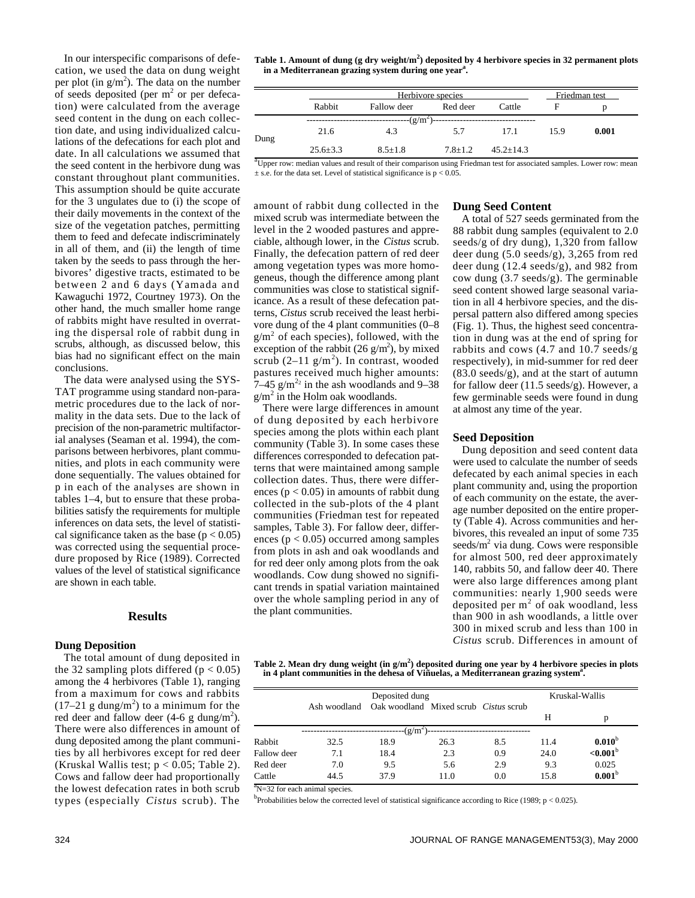In our interspecific comparisons of defecation, we used the data on dung weight per plot (in  $g/m^2$ ). The data on the number of seeds deposited (per  $m<sup>2</sup>$  or per defecation) were calculated from the average seed content in the dung on each collection date, and using individualized calculations of the defecations for each plot and date. In all calculations we assumed that the seed content in the herbivore dung was constant throughout plant communities. This assumption should be quite accurate for the 3 ungulates due to (i) the scope of their daily movements in the context of the size of the vegetation patches, permitting them to feed and defecate indiscriminately in all of them, and (ii) the length of time taken by the seeds to pass through the herbivores' digestive tracts, estimated to be between 2 and 6 days (Yamada and Kawaguchi 1972, Courtney 1973). On the other hand, the much smaller home range of rabbits might have resulted in overrating the dispersal role of rabbit dung in scrubs, although, as discussed below, this bias had no significant effect on the main conclusions.

The data were analysed using the SYS-TAT programme using standard non-parametric procedures due to the lack of normality in the data sets. Due to the lack of precision of the non-parametric multifactorial analyses (Seaman et al. 1994), the comparisons between herbivores, plant communities, and plots in each community were done sequentially. The values obtained for p in each of the analyses are shown in tables 1–4, but to ensure that these probabilities satisfy the requirements for multiple inferences on data sets, the level of statistical significance taken as the base ( $p < 0.05$ ) was corrected using the sequential procedure proposed by Rice (1989). Corrected values of the level of statistical significance are shown in each table.

# **Results**

#### **Dung Deposition**

The total amount of dung deposited in the 32 sampling plots differed ( $p < 0.05$ ) among the 4 herbivores (Table 1), ranging from a maximum for cows and rabbits  $(17-21)$  g dung/m<sup>2</sup>) to a minimum for the red deer and fallow deer  $(4-6 \text{ g} \text{ dung/m}^2)$ . There were also differences in amount of dung deposited among the plant communities by all herbivores except for red deer (Kruskal Wallis test;  $p < 0.05$ ; Table 2). Cows and fallow deer had proportionally the lowest defecation rates in both scrub types (especially *Cistus* scrub). The **Table 1. Amount of dung (g dry weight/m<sup>2</sup> ) deposited by 4 herbivore species in 32 permanent plots in a Mediterranean grazing system during one year<sup>a</sup> .**

|            | Herbivore species |             |             |               | Friedman test |       |  |
|------------|-------------------|-------------|-------------|---------------|---------------|-------|--|
|            | Rabbit            | Fallow deer | Red deer    | Cattle        |               |       |  |
| $-(g/m^2)$ |                   |             |             |               |               |       |  |
| Dung       | 21.6              | 4.3         | 5.7         | 17.1          | 15.9          | 0.001 |  |
|            | $25.6 \pm 3.3$    | $8.5 + 1.8$ | $7.8 + 1.2$ | $45.2 + 14.3$ |               |       |  |

<sup>a</sup>Upper row: median values and result of their comparison using Friedman test for associated samples. Lower row: mean  $\pm$  s.e. for the data set. Level of statistical significance is  $p < 0.05$ .

amount of rabbit dung collected in the mixed scrub was intermediate between the level in the 2 wooded pastures and appreciable, although lower, in the *Cistus* scrub. Finally, the defecation pattern of red deer among vegetation types was more homogeneus, though the difference among plant communities was close to statistical significance. As a result of these defecation patterns, *Cistus* scrub received the least herbivore dung of the 4 plant communities (0–8  $g/m<sup>2</sup>$  of each species), followed, with the exception of the rabbit  $(26 \text{ g/m}^2)$ , by mixed scrub  $(2-11 \text{ g/m}^2)$ . In contrast, wooded pastures received much higher amounts:  $7-45$  g/m<sup>22</sup> in the ash woodlands and 9-38  $g/m^2$  in the Holm oak woodlands.

There were large differences in amount of dung deposited by each herbivore species among the plots within each plant community (Table 3). In some cases these differences corresponded to defecation patterns that were maintained among sample collection dates. Thus, there were differences ( $p < 0.05$ ) in amounts of rabbit dung collected in the sub-plots of the 4 plant communities (Friedman test for repeated samples, Table 3). For fallow deer, differences ( $p < 0.05$ ) occurred among samples from plots in ash and oak woodlands and for red deer only among plots from the oak woodlands. Cow dung showed no significant trends in spatial variation maintained over the whole sampling period in any of the plant communities.

# **Dung Seed Content**

A total of 527 seeds germinated from the 88 rabbit dung samples (equivalent to 2.0 seeds/g of dry dung), 1,320 from fallow deer dung (5.0 seeds/g), 3,265 from red deer dung (12.4 seeds/g), and 982 from cow dung (3.7 seeds/g). The germinable seed content showed large seasonal variation in all 4 herbivore species, and the dispersal pattern also differed among species (Fig. 1). Thus, the highest seed concentration in dung was at the end of spring for rabbits and cows (4.7 and 10.7 seeds/g respectively), in mid-summer for red deer (83.0 seeds/g), and at the start of autumn for fallow deer (11.5 seeds/g). However, a few germinable seeds were found in dung at almost any time of the year.

# **Seed Deposition**

Dung deposition and seed content data were used to calculate the number of seeds defecated by each animal species in each plant community and, using the proportion of each community on the estate, the average number deposited on the entire property (Table 4). Across communities and herbivores, this revealed an input of some 735 seeds/ $m^2$  via dung. Cows were responsible for almost 500, red deer approximately 140, rabbits 50, and fallow deer 40. There were also large differences among plant communities: nearly 1,900 seeds were deposited per  $m^2$  of oak woodland, less than 900 in ash woodlands, a little over 300 in mixed scrub and less than 100 in *Cistus* scrub. Differences in amount of

**Table 2. Mean dry dung weight (in g/m<sup>2</sup> ) deposited during one year by 4 herbivore species in plots** in 4 plant communities in the dehesa of Viñuelas, a Mediterranean grazing system<sup>a</sup>.

|             |              | Deposited dung     |                                              |     | Kruskal-Wallis |                    |
|-------------|--------------|--------------------|----------------------------------------------|-----|----------------|--------------------|
|             | Ash woodland |                    | Oak woodland Mixed scrub <i>Cistus</i> scrub |     | Н              | p                  |
|             |              | -(g/m <sup>-</sup> |                                              |     |                |                    |
| Rabbit      | 32.5         | 18.9               | 26.3                                         | 8.5 | 11.4           | $0.010^{b}$        |
| Fallow deer | 7.1          | 18.4               | 2.3                                          | 0.9 | 24.0           | ${<}0.001^b$       |
| Red deer    | 7.0          | 9.5                | 5.6                                          | 2.9 | 9.3            | 0.025              |
| Cattle      | 44.5         | 37.9               | 11.0                                         | 0.0 | 15.8           | 0.001 <sup>b</sup> |

 $N=32$  for each animal species.

<sup>b</sup>Probabilities below the corrected level of statistical significance according to Rice (1989;  $p < 0.025$ ).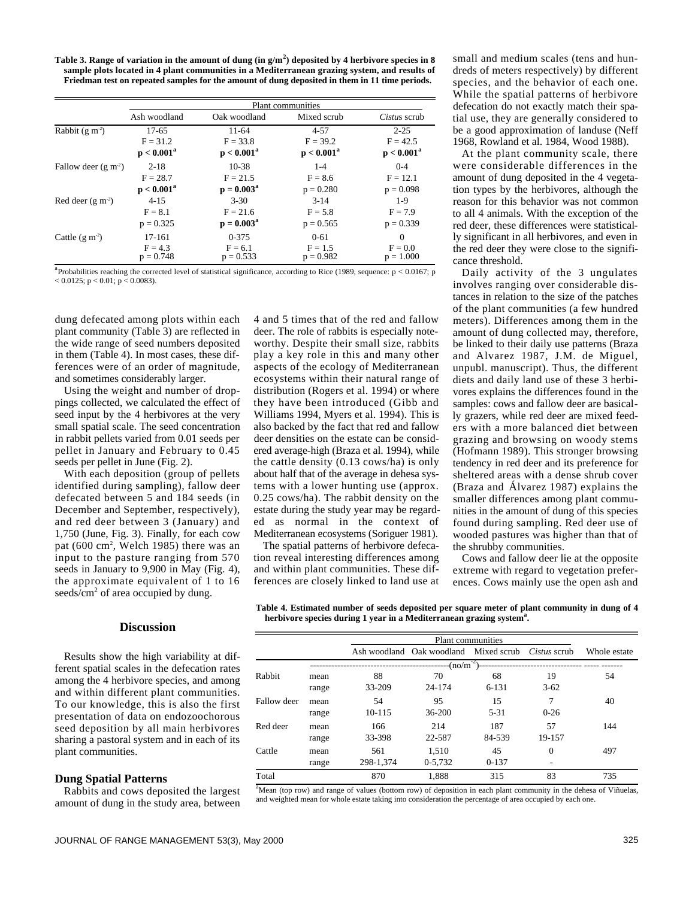**Table 3. Range of variation in the amount of dung (in g/m<sup>2</sup> ) deposited by 4 herbivore species in 8 sample plots located in 4 plant communities in a Mediterranean grazing system, and results of Friedman test on repeated samples for the amount of dung deposited in them in 11 time periods.**

|                      | <b>Plant</b> communities |               |               |               |  |
|----------------------|--------------------------|---------------|---------------|---------------|--|
|                      | Ash woodland             | Oak woodland  | Mixed scrub   | Cistus scrub  |  |
| Rabbit $(g m-2)$     | $17-65$                  | $11-64$       | $4 - 57$      | $2 - 25$      |  |
|                      | $F = 31.2$               | $F = 33.8$    | $F = 39.2$    | $F = 42.5$    |  |
|                      | $p < 0.001^a$            | $p < 0.001^a$ | $p < 0.001^a$ | $p < 0.001^a$ |  |
| Fallow deer $(g m2)$ | $2 - 18$                 | $10 - 38$     | $1 - 4$       | $0 - 4$       |  |
|                      | $F = 28.7$               | $F = 21.5$    | $F = 8.6$     | $F = 12.1$    |  |
|                      | $p < 0.001^a$            | $p = 0.003^a$ | $p = 0.280$   | $p = 0.098$   |  |
| Red deer $(g m2)$    | $4 - 15$                 | $3 - 30$      | $3 - 14$      | $1-9$         |  |
|                      | $F = 8.1$                | $F = 21.6$    | $F = 5.8$     | $F = 7.9$     |  |
|                      | $p = 0.325$              | $p = 0.003^a$ | $p = 0.565$   | $p = 0.339$   |  |
| Cattle $(g m2)$      | 17-161                   | $0 - 375$     | $0 - 61$      | $\Omega$      |  |
|                      | $F = 4.3$                | $F = 6.1$     | $F = 1.5$     | $F = 0.0$     |  |
|                      | $p = 0.748$              | $p = 0.533$   | $p = 0.982$   | $p = 1.000$   |  |

<sup>a</sup> Probabilities reaching the corrected level of statistical significance, according to Rice (1989, sequence:  $p < 0.0167$ ; p  $< 0.0125$ ; p  $< 0.01$ ; p  $< 0.0083$ ).

dung defecated among plots within each plant community (Table 3) are reflected in the wide range of seed numbers deposited in them (Table 4). In most cases, these differences were of an order of magnitude, and sometimes considerably larger.

Using the weight and number of droppings collected, we calculated the effect of seed input by the 4 herbivores at the very small spatial scale. The seed concentration in rabbit pellets varied from 0.01 seeds per pellet in January and February to 0.45 seeds per pellet in June (Fig. 2).

With each deposition (group of pellets identified during sampling), fallow deer defecated between 5 and 184 seeds (in December and September, respectively), and red deer between 3 (January) and 1,750 (June, Fig. 3). Finally, for each cow pat (600 cm<sup>2</sup> , Welch 1985) there was an input to the pasture ranging from 570 seeds in January to 9,900 in May (Fig. 4), the approximate equivalent of 1 to 16 seeds/cm<sup>2</sup> of area occupied by dung.

deer. The role of rabbits is especially noteworthy. Despite their small size, rabbits play a key role in this and many other aspects of the ecology of Mediterranean ecosystems within their natural range of distribution (Rogers et al. 1994) or where they have been introduced (Gibb and Williams 1994, Myers et al. 1994). This is also backed by the fact that red and fallow deer densities on the estate can be considered average-high (Braza et al. 1994), while the cattle density (0.13 cows/ha) is only about half that of the average in dehesa systems with a lower hunting use (approx. 0.25 cows/ha). The rabbit density on the estate during the study year may be regarded as normal in the context of Mediterranean ecosystems (Soriguer 1981).

4 and 5 times that of the red and fallow

The spatial patterns of herbivore defecation reveal interesting differences among and within plant communities. These differences are closely linked to land use at

small and medium scales (tens and hundreds of meters respectively) by different species, and the behavior of each one. While the spatial patterns of herbivore defecation do not exactly match their spatial use, they are generally considered to be a good approximation of landuse (Neff 1968, Rowland et al. 1984, Wood 1988).

At the plant community scale, there were considerable differences in the amount of dung deposited in the 4 vegetation types by the herbivores, although the reason for this behavior was not common to all 4 animals. With the exception of the red deer, these differences were statistically significant in all herbivores, and even in the red deer they were close to the significance threshold.

Daily activity of the 3 ungulates involves ranging over considerable distances in relation to the size of the patches of the plant communities (a few hundred meters). Differences among them in the amount of dung collected may, therefore, be linked to their daily use patterns (Braza and Alvarez 1987, J.M. de Miguel, unpubl. manuscript). Thus, the different diets and daily land use of these 3 herbivores explains the differences found in the samples: cows and fallow deer are basically grazers, while red deer are mixed feeders with a more balanced diet between grazing and browsing on woody stems (Hofmann 1989). This stronger browsing tendency in red deer and its preference for sheltered areas with a dense shrub cover (Braza and Álvarez 1987) explains the smaller differences among plant communities in the amount of dung of this species found during sampling. Red deer use of wooded pastures was higher than that of the shrubby communities.

Cows and fallow deer lie at the opposite extreme with regard to vegetation preferences. Cows mainly use the open ash and

# **Discussion**

Results show the high variability at different spatial scales in the defecation rates among the 4 herbivore species, and among and within different plant communities. To our knowledge, this is also the first presentation of data on endozoochorous seed deposition by all main herbivores sharing a pastoral system and in each of its plant communities.

## **Dung Spatial Patterns**

Rabbits and cows deposited the largest amount of dung in the study area, between **Table 4. Estimated number of seeds deposited per square meter of plant community in dung of 4 herbivore species during 1 year in a Mediterranean grazing system<sup>a</sup> .**

|             |       |           | Plant communities                                  |           |          |              |
|-------------|-------|-----------|----------------------------------------------------|-----------|----------|--------------|
|             |       |           | Ash woodland Oak woodland Mixed scrub Cistus scrub |           |          | Whole estate |
|             |       |           | $-(no/m^{-2})$                                     |           |          |              |
| Rabbit      | mean  | 88        | 70                                                 | 68        | 19       | 54           |
|             | range | 33-209    | 24-174                                             | $6 - 131$ | $3 - 62$ |              |
| Fallow deer | mean  | 54        | 95                                                 | 15        | 7        | 40           |
|             | range | 10-115    | 36-200                                             | $5 - 31$  | $0 - 26$ |              |
| Red deer    | mean  | 166       | 214                                                | 187       | 57       | 144          |
|             | range | 33-398    | 22-587                                             | 84-539    | 19-157   |              |
| Cattle      | mean  | 561       | 1.510                                              | 45        | $\Omega$ | 497          |
|             | range | 298-1,374 | 0-5.732                                            | $0 - 137$ |          |              |
| Total       |       | 870       | 1.888                                              | 315       | 83       | 735          |

 $a<sup>a</sup>$ Mean (top row) and range of values (bottom row) of deposition in each plant community in the dehesa of Viñuelas, and weighted mean for whole estate taking into consideration the percentage of area occupied by each one.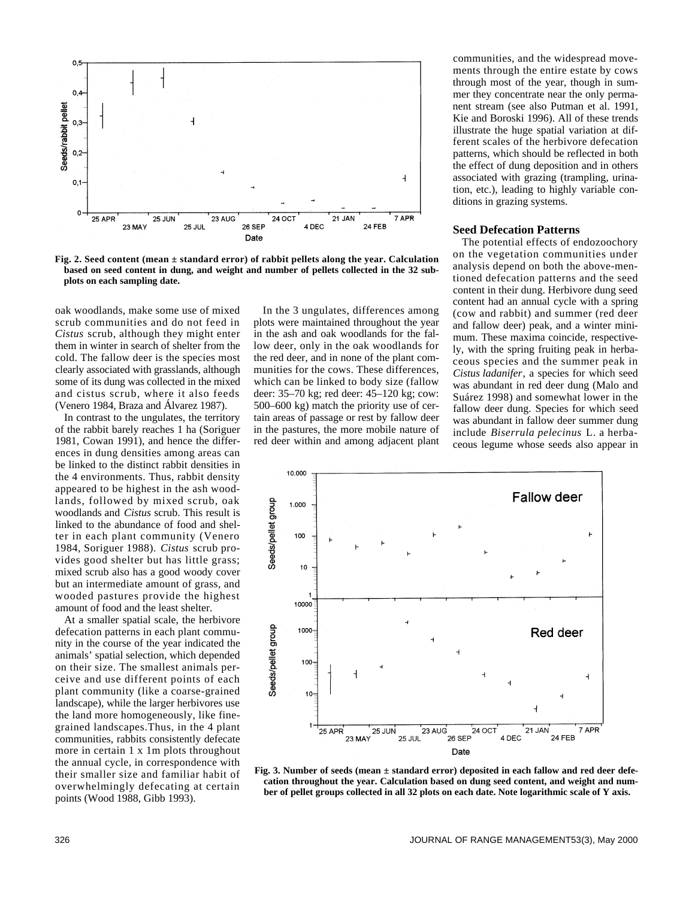

**Fig. 2. Seed content (mean ± standard error) of rabbit pellets along the year. Calculation based on seed content in dung, and weight and number of pellets collected in the 32 subplots on each sampling date.**

oak woodlands, make some use of mixed scrub communities and do not feed in *Cistus* scrub, although they might enter them in winter in search of shelter from the cold. The fallow deer is the species most clearly associated with grasslands, although some of its dung was collected in the mixed and cistus scrub, where it also feeds (Venero 1984, Braza and Álvarez 1987).

In contrast to the ungulates, the territory of the rabbit barely reaches 1 ha (Soriguer 1981, Cowan 1991), and hence the differences in dung densities among areas can be linked to the distinct rabbit densities in the 4 environments. Thus, rabbit density appeared to be highest in the ash woodlands, followed by mixed scrub, oak woodlands and *Cistus* scrub. This result is linked to the abundance of food and shelter in each plant community (Venero 1984, Soriguer 1988). Cistus scrub provides good shelter but has little grass; mixed scrub also has a good woody cover but an intermediate amount of grass, and wooded pastures provide the highest amount of food and the least shelter.

At a smaller spatial scale, the herbivore defecation patterns in each plant community in the course of the year indicated the animals' spatial selection, which depended on their size. The smallest animals perceive and use different points of each plant community (like a coarse-grained landscape), while the larger herbivores use the land more homogeneously, like finegrained landscapes.Thus, in the 4 plant communities, rabbits consistently defecate more in certain 1 x 1m plots throughout the annual cycle, in correspondence with their smaller size and familiar habit of overwhelmingly defecating at certain points (Wood 1988, Gibb 1993).

In the 3 ungulates, differences among plots were maintained throughout the year in the ash and oak woodlands for the fallow deer, only in the oak woodlands for the red deer, and in none of the plant communities for the cows. These differences, which can be linked to body size (fallow deer: 35–70 kg; red deer: 45–120 kg; cow: 500–600 kg) match the priority use of certain areas of passage or rest by fallow deer in the pastures, the more mobile nature of red deer within and among adjacent plant communities, and the widespread movements through the entire estate by cows through most of the year, though in summer they concentrate near the only permanent stream (see also Putman et al. 1991, Kie and Boroski 1996). All of these trends illustrate the huge spatial variation at different scales of the herbivore defecation patterns, which should be reflected in both the effect of dung deposition and in others associated with grazing (trampling, urination, etc.), leading to highly variable conditions in grazing systems.

# **Seed Defecation Patterns**

The potential effects of endozoochory on the vegetation communities under analysis depend on both the above-mentioned defecation patterns and the seed content in their dung. Herbivore dung seed content had an annual cycle with a spring (cow and rabbit) and summer (red deer and fallow deer) peak, and a winter minimum. These maxima coincide, respectively, with the spring fruiting peak in herbaceous species and the summer peak in *Cistus ladanifer*, a species for which seed was abundant in red deer dung (Malo and Suárez 1998) and somewhat lower in the fallow deer dung. Species for which seed was abundant in fallow deer summer dung include *Biserrula pelecinus* L. a herbaceous legume whose seeds also appear in



**Fig. 3. Number of seeds (mean ± standard error) deposited in each fallow and red deer defecation throughout the year. Calculation based on dung seed content, and weight and number of pellet groups collected in all 32 plots on each date. Note logarithmic scale of Y axis.**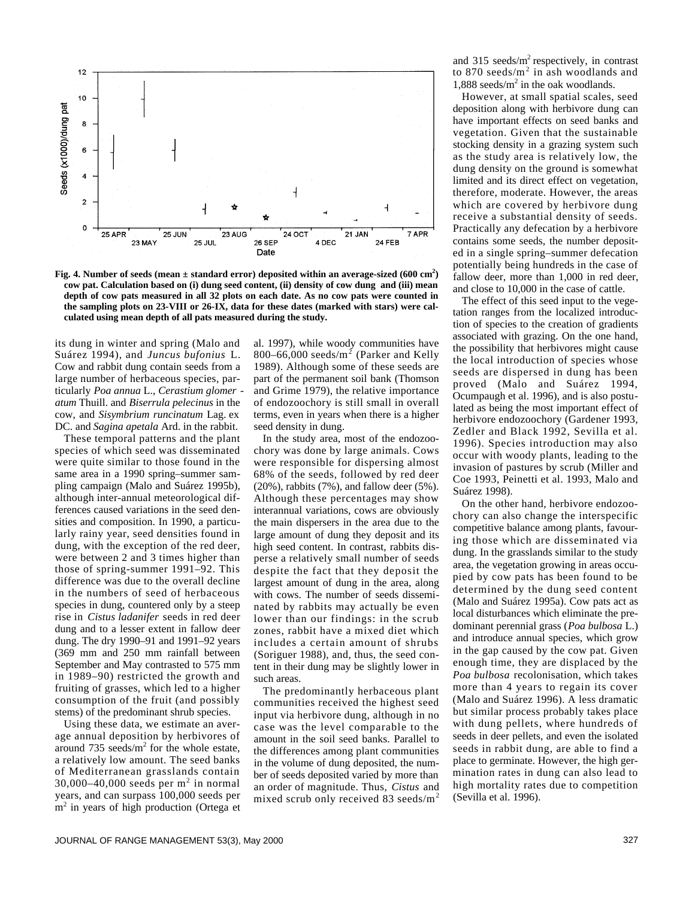

**Fig. 4. Number of seeds (mean ± standard error) deposited within an average-sized (600 cm<sup>2</sup> ) cow pat. Calculation based on (i) dung seed content, (ii) density of cow dung and (iii) mean depth of cow pats measured in all 32 plots on each date. As no cow pats were counted in the sampling plots on 23-VIII or 26-IX, data for these dates (marked with stars) were calculated using mean depth of all pats measured during the study.**

its dung in winter and spring (Malo and Suárez 1994), and *Juncus bufonius* L. Cow and rabbit dung contain seeds from a large number of herbaceous species, particularly *Poa annua* L., *Cerastium glomer atum* Thuill. and *Biserrula pelecinus* in the cow, and *Sisymbrium runcinatum* Lag. ex DC. and *Sagina apetala* Ard. in the rabbit.

These temporal patterns and the plant species of which seed was disseminated were quite similar to those found in the same area in a 1990 spring–summer sampling campaign (Malo and Suárez 1995b), although inter-annual meteorological differences caused variations in the seed densities and composition. In 1990, a particularly rainy year, seed densities found in dung, with the exception of the red deer, were between 2 and 3 times higher than those of spring-summer 1991–92. This difference was due to the overall decline in the numbers of seed of herbaceous species in dung, countered only by a steep rise in *Cistus ladanifer* seeds in red deer dung and to a lesser extent in fallow deer dung. The dry 1990–91 and 1991–92 years (369 mm and 250 mm rainfall between September and May contrasted to 575 mm in 1989–90) restricted the growth and fruiting of grasses, which led to a higher consumption of the fruit (and possibly stems) of the predominant shrub species.

Using these data, we estimate an average annual deposition by herbivores of around 735 seeds/ $m<sup>2</sup>$  for the whole estate, a relatively low amount. The seed banks of Mediterranean grasslands contain 30,000–40,000 seeds per  $m<sup>2</sup>$  in normal years, and can surpass 100,000 seeds per m<sup>2</sup> in years of high production (Ortega et

al. 1997), while woody communities have 800–66,000 seeds/ $m^2$  (Parker and Kelly 1989). Although some of these seeds are part of the permanent soil bank (Thomson and Grime 1979), the relative importance of endozoochory is still small in overall terms, even in years when there is a higher seed density in dung.

In the study area, most of the endozoochory was done by large animals. Cows were responsible for dispersing almost 68% of the seeds, followed by red deer (20%), rabbits (7%), and fallow deer (5%). Although these percentages may show interannual variations, cows are obviously the main dispersers in the area due to the large amount of dung they deposit and its high seed content. In contrast, rabbits disperse a relatively small number of seeds despite the fact that they deposit the largest amount of dung in the area, along with cows. The number of seeds disseminated by rabbits may actually be even lower than our findings: in the scrub zones, rabbit have a mixed diet which includes a certain amount of shrubs (Soriguer 1988), and, thus, the seed content in their dung may be slightly lower in such areas.

The predominantly herbaceous plant communities received the highest seed input via herbivore dung, although in no case was the level comparable to the amount in the soil seed banks. Parallel to the differences among plant communities in the volume of dung deposited, the number of seeds deposited varied by more than an order of magnitude. Thus, *Cistus* and mixed scrub only received 83 seeds/ $m<sup>2</sup>$  and 315 seeds/ $m^2$  respectively, in contrast to 870 seeds/ $m^2$  in ash woodlands and  $1,888$  seeds/ $m<sup>2</sup>$  in the oak woodlands.

However, at small spatial scales, seed deposition along with herbivore dung can have important effects on seed banks and vegetation. Given that the sustainable stocking density in a grazing system such as the study area is relatively low, the dung density on the ground is somewhat limited and its direct effect on vegetation, therefore, moderate. However, the areas which are covered by herbivore dung receive a substantial density of seeds. Practically any defecation by a herbivore contains some seeds, the number deposited in a single spring–summer defecation potentially being hundreds in the case of fallow deer, more than 1,000 in red deer, and close to 10,000 in the case of cattle.

The effect of this seed input to the vegetation ranges from the localized introduction of species to the creation of gradients associated with grazing. On the one hand, the possibility that herbivores might cause the local introduction of species whose seeds are dispersed in dung has been proved (Malo and Suárez 1994, Ocumpaugh et al. 1996), and is also postulated as being the most important effect of herbivore endozoochory (Gardener 1993, Zedler and Black 1992, Sevilla et al. 1996). Species introduction may also occur with woody plants, leading to the invasion of pastures by scrub (Miller and Coe 1993, Peinetti et al. 1993, Malo and Suárez 1998).

On the other hand, herbivore endozoochory can also change the interspecific competitive balance among plants, favouring those which are disseminated via dung. In the grasslands similar to the study area, the vegetation growing in areas occupied by cow pats has been found to be determined by the dung seed content (Malo and Suárez 1995a). Cow pats act as local disturbances which eliminate the predominant perennial grass (*Poa bulbosa* L.) and introduce annual species, which grow in the gap caused by the cow pat. Given enough time, they are displaced by the *Poa bulbosa* recolonisation, which takes more than 4 years to regain its cover (Malo and Suárez 1996). A less dramatic but similar process probably takes place with dung pellets, where hundreds of seeds in deer pellets, and even the isolated seeds in rabbit dung, are able to find a place to germinate. However, the high germination rates in dung can also lead to high mortality rates due to competition (Sevilla et al. 1996).